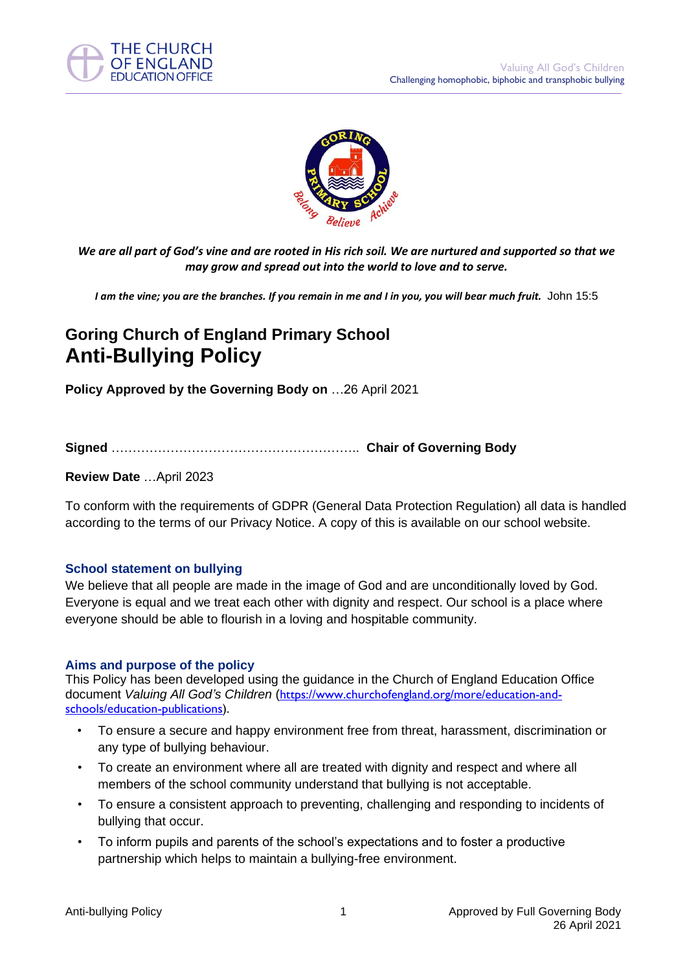



*We are all part of God's vine and are rooted in His rich soil. We are nurtured and supported so that we may grow and spread out into the world to love and to serve.*

*I am the vine; you are the branches. If you remain in me and I in you, you will bear much fruit.* John 15:5

## **Goring Church of England Primary School Anti-Bullying Policy**

**Policy Approved by the Governing Body on** …26 April 2021

**Signed** ………………………………………………….. **Chair of Governing Body**

## **Review Date** …April 2023

To conform with the requirements of GDPR (General Data Protection Regulation) all data is handled according to the terms of our Privacy Notice. A copy of this is available on our school website.

## **School statement on bullying**

We believe that all people are made in the image of God and are unconditionally loved by God. Everyone is equal and we treat each other with dignity and respect. Our school is a place where everyone should be able to flourish in a loving and hospitable community.

#### **Aims and purpose of the policy**

This Policy has been developed using the guidance in the Church of England Education Office document *Valuing All God's Children* ([https://www.churchofengland.org/more/education-and](https://www.churchofengland.org/more/education-and-schools/education-publications)[schools/education-publications\)](https://www.churchofengland.org/more/education-and-schools/education-publications).

- To ensure a secure and happy environment free from threat, harassment, discrimination or any type of bullying behaviour.
- To create an environment where all are treated with dignity and respect and where all members of the school community understand that bullying is not acceptable.
- To ensure a consistent approach to preventing, challenging and responding to incidents of bullying that occur.
- To inform pupils and parents of the school's expectations and to foster a productive partnership which helps to maintain a bullying-free environment.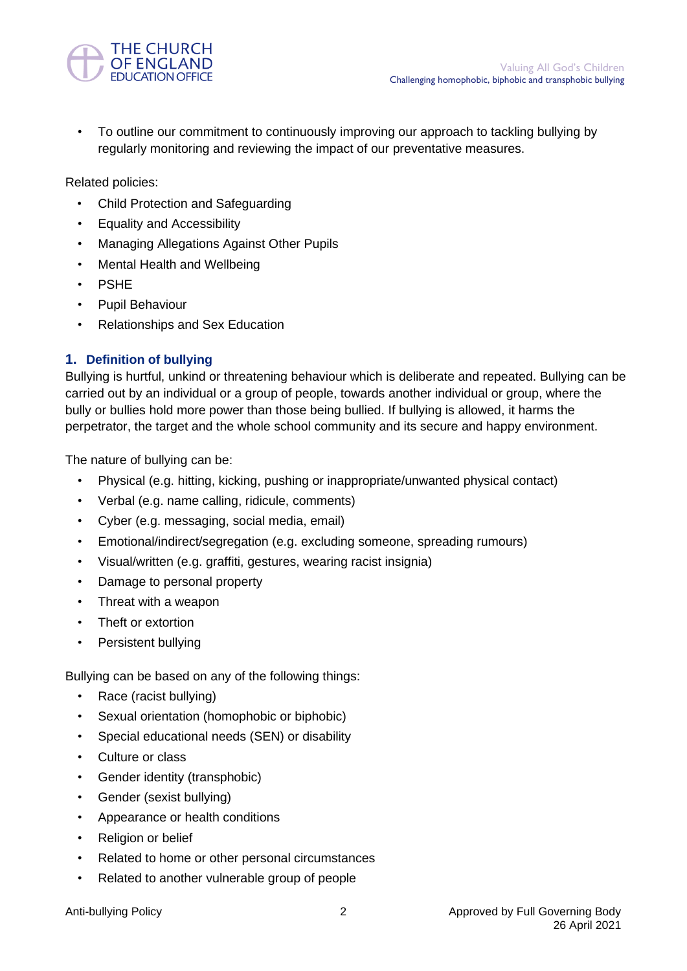

• To outline our commitment to continuously improving our approach to tackling bullying by regularly monitoring and reviewing the impact of our preventative measures.

Related policies:

- Child Protection and Safeguarding
- Equality and Accessibility
- Managing Allegations Against Other Pupils
- Mental Health and Wellbeing
- **PSHE**
- Pupil Behaviour
- Relationships and Sex Education

## **1. Definition of bullying**

Bullying is hurtful, unkind or threatening behaviour which is deliberate and repeated. Bullying can be carried out by an individual or a group of people, towards another individual or group, where the bully or bullies hold more power than those being bullied. If bullying is allowed, it harms the perpetrator, the target and the whole school community and its secure and happy environment.

The nature of bullying can be:

- Physical (e.g. hitting, kicking, pushing or inappropriate/unwanted physical contact)
- Verbal (e.g. name calling, ridicule, comments)
- Cyber (e.g. messaging, social media, email)
- Emotional/indirect/segregation (e.g. excluding someone, spreading rumours)
- Visual/written (e.g. graffiti, gestures, wearing racist insignia)
- Damage to personal property
- Threat with a weapon
- Theft or extortion
- Persistent bullying

Bullying can be based on any of the following things:

- Race (racist bullying)
- Sexual orientation (homophobic or biphobic)
- Special educational needs (SEN) or disability
- Culture or class
- Gender identity (transphobic)
- Gender (sexist bullying)
- Appearance or health conditions
- Religion or belief
- Related to home or other personal circumstances
- Related to another vulnerable group of people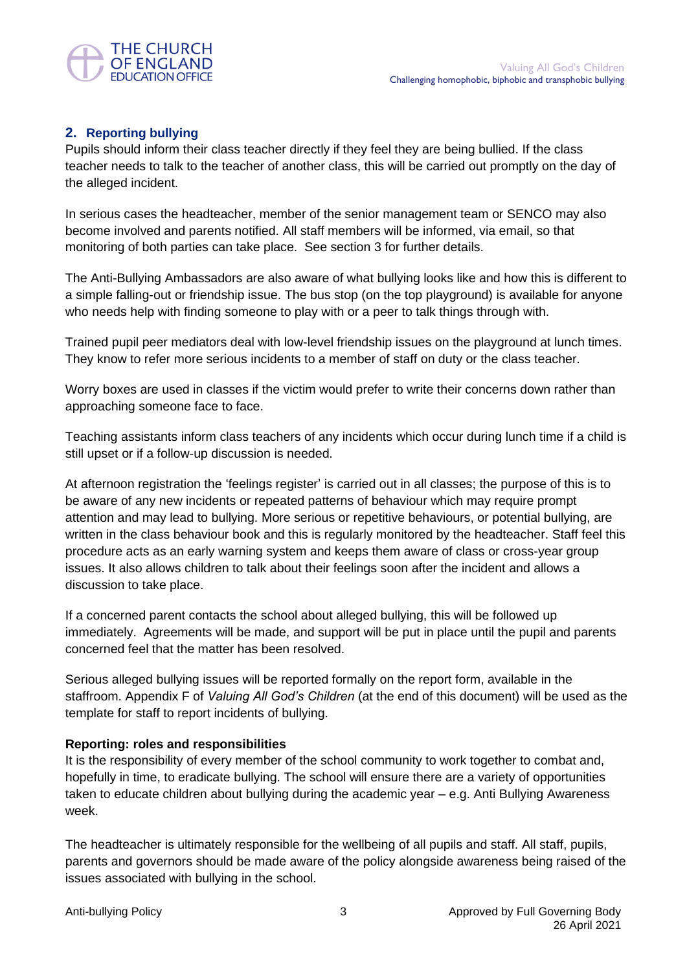

## **2. Reporting bullying**

Pupils should inform their class teacher directly if they feel they are being bullied. If the class teacher needs to talk to the teacher of another class, this will be carried out promptly on the day of the alleged incident.

In serious cases the headteacher, member of the senior management team or SENCO may also become involved and parents notified. All staff members will be informed, via email, so that monitoring of both parties can take place. See section 3 for further details.

The Anti-Bullying Ambassadors are also aware of what bullying looks like and how this is different to a simple falling-out or friendship issue. The bus stop (on the top playground) is available for anyone who needs help with finding someone to play with or a peer to talk things through with.

Trained pupil peer mediators deal with low-level friendship issues on the playground at lunch times. They know to refer more serious incidents to a member of staff on duty or the class teacher.

Worry boxes are used in classes if the victim would prefer to write their concerns down rather than approaching someone face to face.

Teaching assistants inform class teachers of any incidents which occur during lunch time if a child is still upset or if a follow-up discussion is needed.

At afternoon registration the 'feelings register' is carried out in all classes; the purpose of this is to be aware of any new incidents or repeated patterns of behaviour which may require prompt attention and may lead to bullying. More serious or repetitive behaviours, or potential bullying, are written in the class behaviour book and this is regularly monitored by the headteacher. Staff feel this procedure acts as an early warning system and keeps them aware of class or cross-year group issues. It also allows children to talk about their feelings soon after the incident and allows a discussion to take place.

If a concerned parent contacts the school about alleged bullying, this will be followed up immediately. Agreements will be made, and support will be put in place until the pupil and parents concerned feel that the matter has been resolved.

Serious alleged bullying issues will be reported formally on the report form, available in the staffroom. Appendix F of *Valuing All God's Children* (at the end of this document) will be used as the template for staff to report incidents of bullying.

## **Reporting: roles and responsibilities**

It is the responsibility of every member of the school community to work together to combat and, hopefully in time, to eradicate bullying. The school will ensure there are a variety of opportunities taken to educate children about bullying during the academic year – e.g. Anti Bullying Awareness week.

The headteacher is ultimately responsible for the wellbeing of all pupils and staff. All staff, pupils, parents and governors should be made aware of the policy alongside awareness being raised of the issues associated with bullying in the school.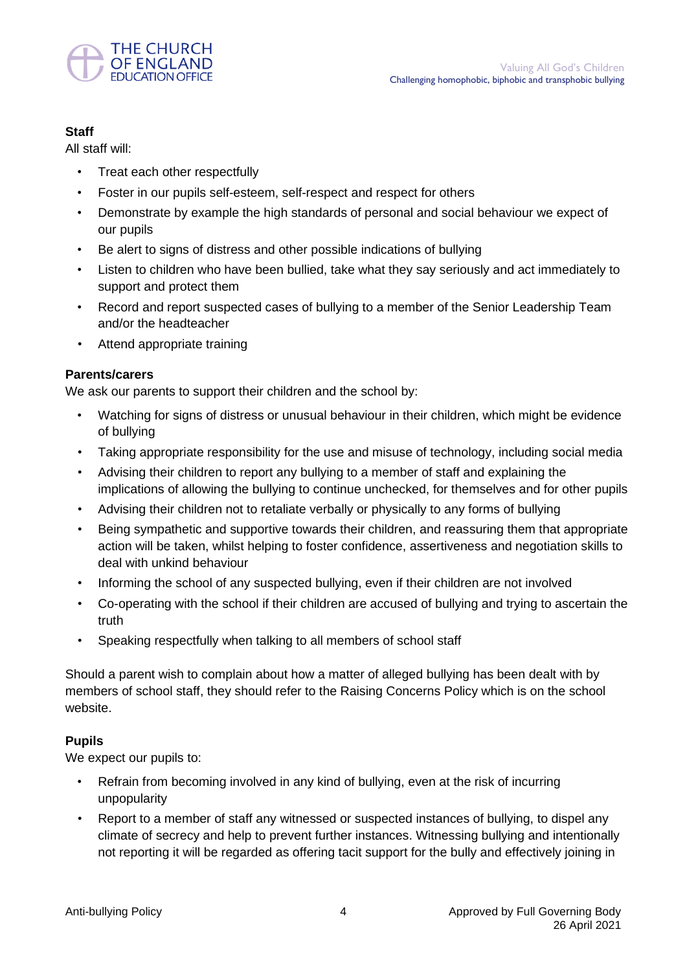

## **Staff**

All staff will:

- Treat each other respectfully
- Foster in our pupils self-esteem, self-respect and respect for others
- Demonstrate by example the high standards of personal and social behaviour we expect of our pupils
- Be alert to signs of distress and other possible indications of bullying
- Listen to children who have been bullied, take what they say seriously and act immediately to support and protect them
- Record and report suspected cases of bullying to a member of the Senior Leadership Team and/or the headteacher
- Attend appropriate training

## **Parents/carers**

We ask our parents to support their children and the school by:

- Watching for signs of distress or unusual behaviour in their children, which might be evidence of bullying
- Taking appropriate responsibility for the use and misuse of technology, including social media
- Advising their children to report any bullying to a member of staff and explaining the implications of allowing the bullying to continue unchecked, for themselves and for other pupils
- Advising their children not to retaliate verbally or physically to any forms of bullying
- Being sympathetic and supportive towards their children, and reassuring them that appropriate action will be taken, whilst helping to foster confidence, assertiveness and negotiation skills to deal with unkind behaviour
- Informing the school of any suspected bullying, even if their children are not involved
- Co-operating with the school if their children are accused of bullying and trying to ascertain the truth
- Speaking respectfully when talking to all members of school staff

Should a parent wish to complain about how a matter of alleged bullying has been dealt with by members of school staff, they should refer to the Raising Concerns Policy which is on the school website.

## **Pupils**

We expect our pupils to:

- Refrain from becoming involved in any kind of bullying, even at the risk of incurring unpopularity
- Report to a member of staff any witnessed or suspected instances of bullying, to dispel any climate of secrecy and help to prevent further instances. Witnessing bullying and intentionally not reporting it will be regarded as offering tacit support for the bully and effectively joining in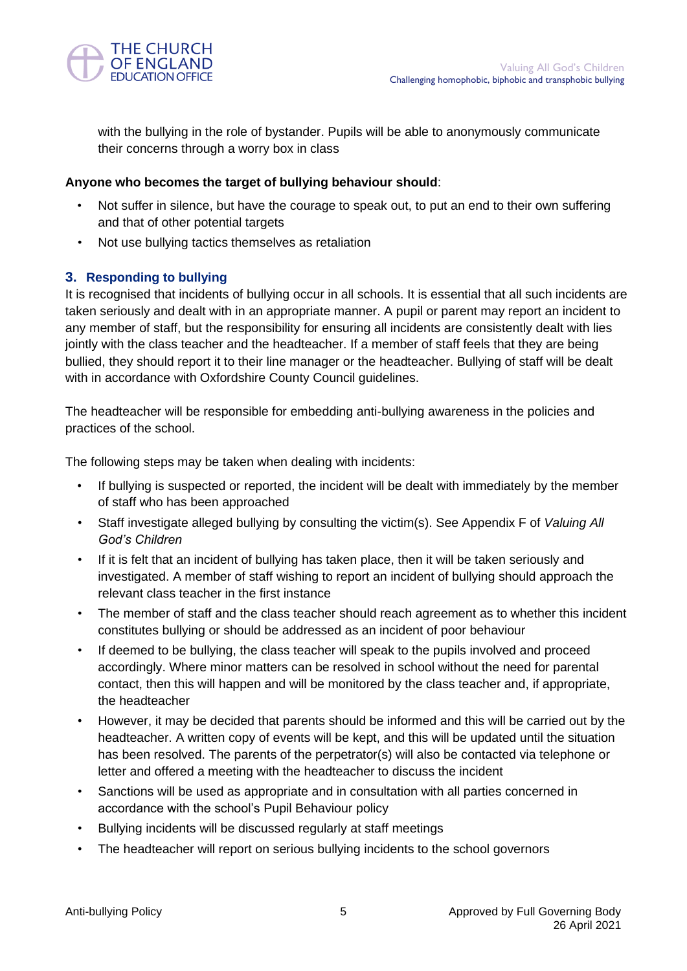

with the bullying in the role of bystander. Pupils will be able to anonymously communicate their concerns through a worry box in class

## **Anyone who becomes the target of bullying behaviour should**:

- Not suffer in silence, but have the courage to speak out, to put an end to their own suffering and that of other potential targets
- Not use bullying tactics themselves as retaliation

## **3. Responding to bullying**

It is recognised that incidents of bullying occur in all schools. It is essential that all such incidents are taken seriously and dealt with in an appropriate manner. A pupil or parent may report an incident to any member of staff, but the responsibility for ensuring all incidents are consistently dealt with lies jointly with the class teacher and the headteacher. If a member of staff feels that they are being bullied, they should report it to their line manager or the headteacher. Bullying of staff will be dealt with in accordance with Oxfordshire County Council quidelines.

The headteacher will be responsible for embedding anti-bullying awareness in the policies and practices of the school.

The following steps may be taken when dealing with incidents:

- If bullying is suspected or reported, the incident will be dealt with immediately by the member of staff who has been approached
- Staff investigate alleged bullying by consulting the victim(s). See Appendix F of *Valuing All God's Children*
- If it is felt that an incident of bullying has taken place, then it will be taken seriously and investigated. A member of staff wishing to report an incident of bullying should approach the relevant class teacher in the first instance
- The member of staff and the class teacher should reach agreement as to whether this incident constitutes bullying or should be addressed as an incident of poor behaviour
- If deemed to be bullying, the class teacher will speak to the pupils involved and proceed accordingly. Where minor matters can be resolved in school without the need for parental contact, then this will happen and will be monitored by the class teacher and, if appropriate, the headteacher
- However, it may be decided that parents should be informed and this will be carried out by the headteacher. A written copy of events will be kept, and this will be updated until the situation has been resolved. The parents of the perpetrator(s) will also be contacted via telephone or letter and offered a meeting with the headteacher to discuss the incident
- Sanctions will be used as appropriate and in consultation with all parties concerned in accordance with the school's Pupil Behaviour policy
- Bullying incidents will be discussed regularly at staff meetings
- The headteacher will report on serious bullying incidents to the school governors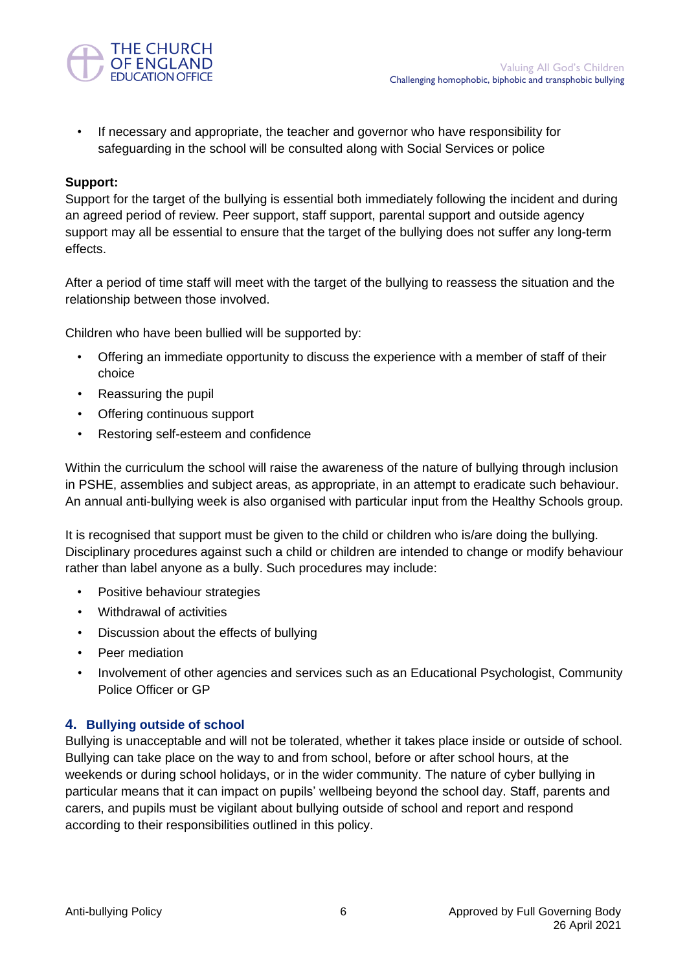

• If necessary and appropriate, the teacher and governor who have responsibility for safeguarding in the school will be consulted along with Social Services or police

## **Support:**

Support for the target of the bullying is essential both immediately following the incident and during an agreed period of review. Peer support, staff support, parental support and outside agency support may all be essential to ensure that the target of the bullying does not suffer any long-term effects.

After a period of time staff will meet with the target of the bullying to reassess the situation and the relationship between those involved.

Children who have been bullied will be supported by:

- Offering an immediate opportunity to discuss the experience with a member of staff of their choice
- Reassuring the pupil
- Offering continuous support
- Restoring self-esteem and confidence

Within the curriculum the school will raise the awareness of the nature of bullying through inclusion in PSHE, assemblies and subject areas, as appropriate, in an attempt to eradicate such behaviour. An annual anti-bullying week is also organised with particular input from the Healthy Schools group.

It is recognised that support must be given to the child or children who is/are doing the bullying. Disciplinary procedures against such a child or children are intended to change or modify behaviour rather than label anyone as a bully. Such procedures may include:

- Positive behaviour strategies
- Withdrawal of activities
- Discussion about the effects of bullying
- Peer mediation
- Involvement of other agencies and services such as an Educational Psychologist, Community Police Officer or GP

## **4. Bullying outside of school**

Bullying is unacceptable and will not be tolerated, whether it takes place inside or outside of school. Bullying can take place on the way to and from school, before or after school hours, at the weekends or during school holidays, or in the wider community. The nature of cyber bullying in particular means that it can impact on pupils' wellbeing beyond the school day. Staff, parents and carers, and pupils must be vigilant about bullying outside of school and report and respond according to their responsibilities outlined in this policy.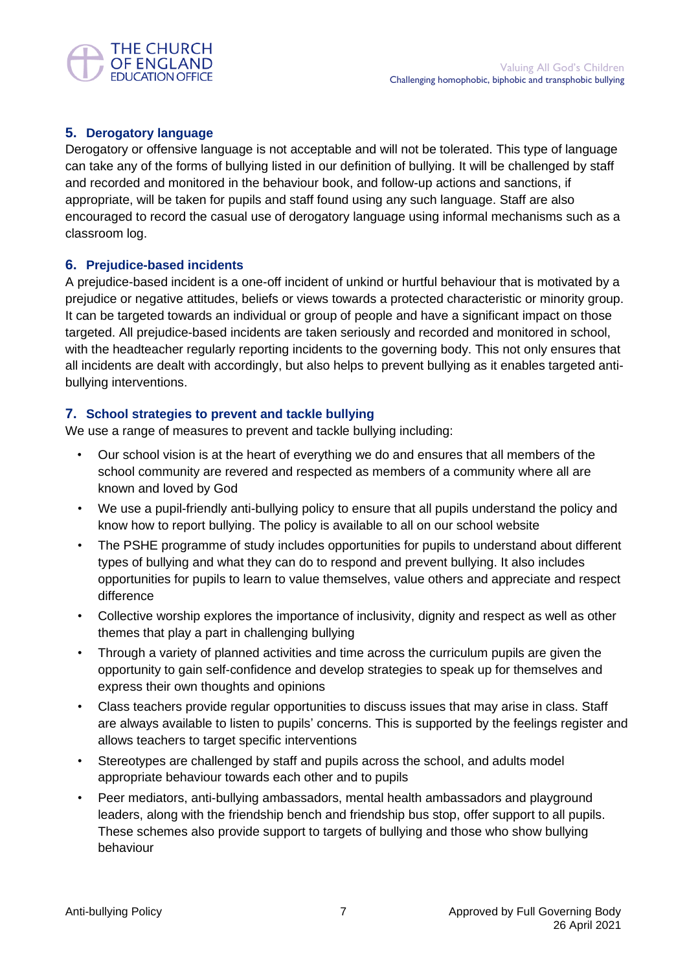

## **5. Derogatory language**

Derogatory or offensive language is not acceptable and will not be tolerated. This type of language can take any of the forms of bullying listed in our definition of bullying. It will be challenged by staff and recorded and monitored in the behaviour book, and follow-up actions and sanctions, if appropriate, will be taken for pupils and staff found using any such language. Staff are also encouraged to record the casual use of derogatory language using informal mechanisms such as a classroom log.

## **6. Prejudice-based incidents**

A prejudice-based incident is a one-off incident of unkind or hurtful behaviour that is motivated by a prejudice or negative attitudes, beliefs or views towards a protected characteristic or minority group. It can be targeted towards an individual or group of people and have a significant impact on those targeted. All prejudice-based incidents are taken seriously and recorded and monitored in school, with the headteacher regularly reporting incidents to the governing body. This not only ensures that all incidents are dealt with accordingly, but also helps to prevent bullying as it enables targeted antibullying interventions.

## **7. School strategies to prevent and tackle bullying**

We use a range of measures to prevent and tackle bullying including:

- Our school vision is at the heart of everything we do and ensures that all members of the school community are revered and respected as members of a community where all are known and loved by God
- We use a pupil-friendly anti-bullying policy to ensure that all pupils understand the policy and know how to report bullying. The policy is available to all on our school website
- The PSHE programme of study includes opportunities for pupils to understand about different types of bullying and what they can do to respond and prevent bullying. It also includes opportunities for pupils to learn to value themselves, value others and appreciate and respect difference
- Collective worship explores the importance of inclusivity, dignity and respect as well as other themes that play a part in challenging bullying
- Through a variety of planned activities and time across the curriculum pupils are given the opportunity to gain self-confidence and develop strategies to speak up for themselves and express their own thoughts and opinions
- Class teachers provide regular opportunities to discuss issues that may arise in class. Staff are always available to listen to pupils' concerns. This is supported by the feelings register and allows teachers to target specific interventions
- Stereotypes are challenged by staff and pupils across the school, and adults model appropriate behaviour towards each other and to pupils
- Peer mediators, anti-bullying ambassadors, mental health ambassadors and playground leaders, along with the friendship bench and friendship bus stop, offer support to all pupils. These schemes also provide support to targets of bullying and those who show bullying behaviour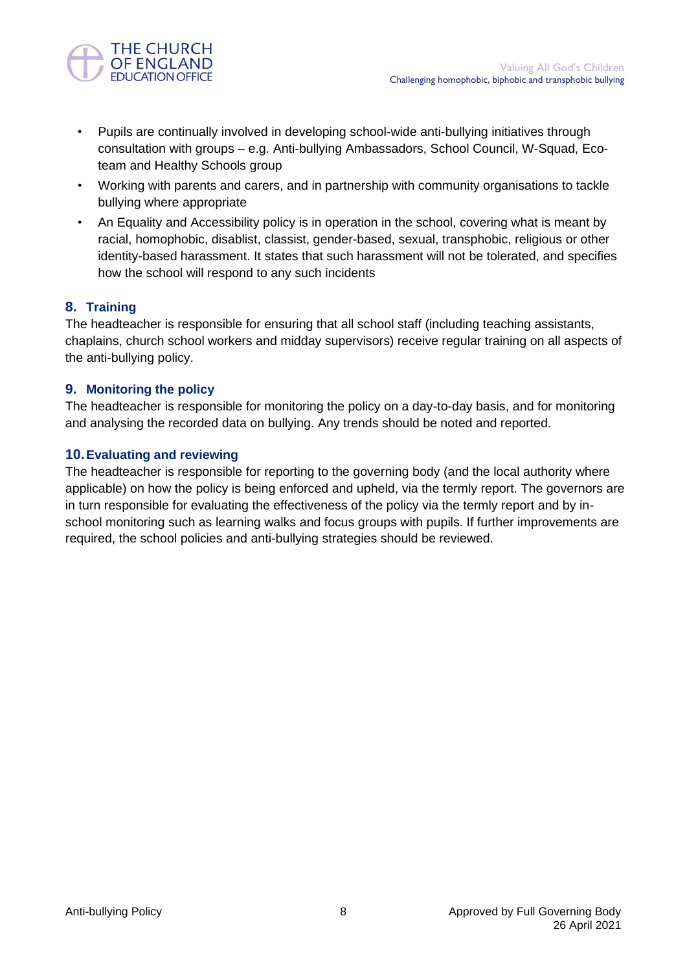

- Pupils are continually involved in developing school-wide anti-bullying initiatives through consultation with groups – e.g. Anti-bullying Ambassadors, School Council, W-Squad, Ecoteam and Healthy Schools group
- Working with parents and carers, and in partnership with community organisations to tackle bullying where appropriate
- An Equality and Accessibility policy is in operation in the school, covering what is meant by racial, homophobic, disablist, classist, gender-based, sexual, transphobic, religious or other identity-based harassment. It states that such harassment will not be tolerated, and specifies how the school will respond to any such incidents

## **8. Training**

The headteacher is responsible for ensuring that all school staff (including teaching assistants, chaplains, church school workers and midday supervisors) receive regular training on all aspects of the anti-bullying policy.

## **9. Monitoring the policy**

The headteacher is responsible for monitoring the policy on a day-to-day basis, and for monitoring and analysing the recorded data on bullying. Any trends should be noted and reported.

## **10.Evaluating and reviewing**

The headteacher is responsible for reporting to the governing body (and the local authority where applicable) on how the policy is being enforced and upheld, via the termly report. The governors are in turn responsible for evaluating the effectiveness of the policy via the termly report and by inschool monitoring such as learning walks and focus groups with pupils. If further improvements are required, the school policies and anti-bullying strategies should be reviewed.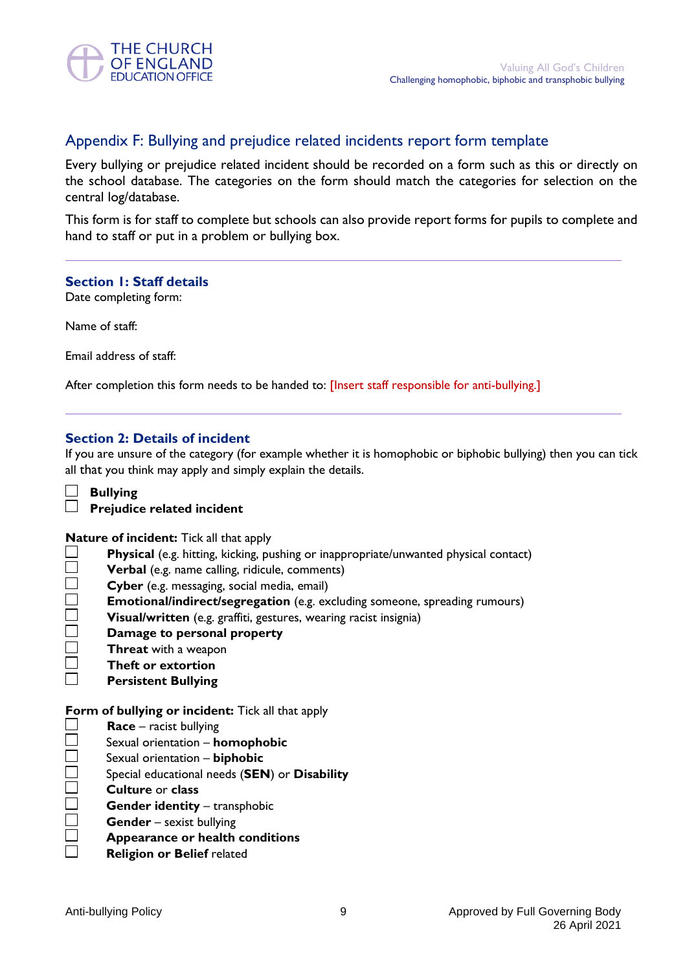

## Appendix F: Bullying and prejudice related incidents report form template

Every bullying or prejudice related incident should be recorded on a form such as this or directly on the school database. The categories on the form should match the categories for selection on the central log/database.

This form is for staff to complete but schools can also provide report forms for pupils to complete and hand to staff or put in a problem or bullying box.

#### **Section 1: Staff details**

Date completing form:

Name of staff:

Email address of staff:

After completion this form needs to be handed to: [Insert staff responsible for anti-bullying.]

#### **Section 2: Details of incident**

If you are unsure of the category (for example whether it is homophobic or biphobic bullying) then you can tick all that you think may apply and simply explain the details.

**Bullying Prejudice related incident**

#### **Nature of incident:** Tick all that apply

- $\Box$ **Physical** (e.g. hitting, kicking, pushing or inappropriate/unwanted physical contact)
- $\Box$ **Verbal** (e.g. name calling, ridicule, comments)
- $\Box$ **Cyber** (e.g. messaging, social media, email)
- $\Box$ **Emotional/indirect/segregation** (e.g. excluding someone, spreading rumours)
- $\Box$ **Visual/written** (e.g. graffiti, gestures, wearing racist insignia)
- $\Box$ **Damage to personal property**
- $\Box$ **Threat** with a weapon
- $\Box$ **Theft or extortion**
- $\Box$ **Persistent Bullying**

**Form of bullying or incident:** Tick all that apply

 $\Box$ **Race** – racist bullying

- $\Box$ Sexual orientation – **homophobic**
- $\Box$ Sexual orientation – **biphobic**
- $\Box$ Special educational needs (**SEN**) or **Disability**
- $\Box$ **Culture** or **class**
- $\Box$ **Gender identity** – transphobic
- $\Box$ **Gender** – sexist bullying
- $\Box$ **Appearance or health conditions**
- **Religion or Belief** related